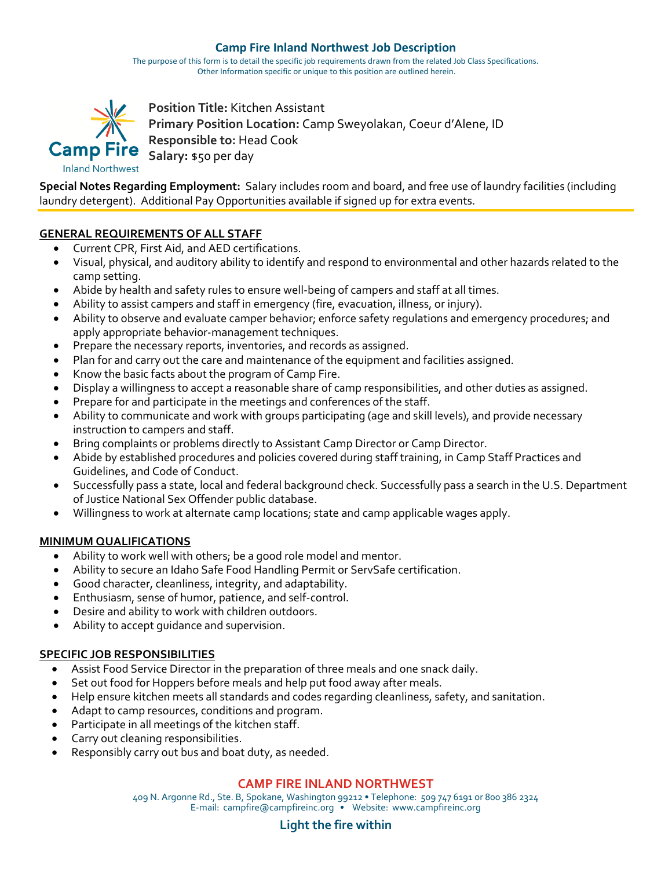# **Camp Fire Inland Northwest Job Description**

The purpose of this form is to detail the specific job requirements drawn from the related Job Class Specifications. Other Information specific or unique to this position are outlined herein.



**Position Title:** Kitchen Assistant **Primary Position Location:** Camp Sweyolakan, Coeur d'Alene, ID **Responsible to:** Head Cook Camp Fire Salary: \$50 per day

**Special Notes Regarding Employment:** Salary includes room and board, and free use of laundry facilities (including laundry detergent). Additional Pay Opportunities available if signed up for extra events.

# **GENERAL REQUIREMENTS OF ALL STAFF**

- Current CPR, First Aid, and AED certifications.
- Visual, physical, and auditory ability to identify and respond to environmental and other hazards related to the camp setting.
- Abide by health and safety rules to ensure well-being of campers and staff at all times.
- Ability to assist campers and staff in emergency (fire, evacuation, illness, or injury).
- Ability to observe and evaluate camper behavior; enforce safety regulations and emergency procedures; and apply appropriate behavior-management techniques.
- Prepare the necessary reports, inventories, and records as assigned.
- Plan for and carry out the care and maintenance of the equipment and facilities assigned.
- Know the basic facts about the program of Camp Fire.
- Display a willingness to accept a reasonable share of camp responsibilities, and other duties as assigned.
- Prepare for and participate in the meetings and conferences of the staff.
- Ability to communicate and work with groups participating (age and skill levels), and provide necessary instruction to campers and staff.
- Bring complaints or problems directly to Assistant Camp Director or Camp Director.
- Abide by established procedures and policies covered during staff training, in Camp Staff Practices and Guidelines, and Code of Conduct.
- Successfully pass a state, local and federal background check. Successfully pass a search in the U.S. Department of Justice National Sex Offender public database.
- Willingness to work at alternate camp locations; state and camp applicable wages apply.

# **MINIMUM QUALIFICATIONS**

- Ability to work well with others; be a good role model and mentor.
- Ability to secure an Idaho Safe Food Handling Permit or ServSafe certification.
- Good character, cleanliness, integrity, and adaptability.
- Enthusiasm, sense of humor, patience, and self-control.
- Desire and ability to work with children outdoors.
- Ability to accept guidance and supervision.

# **SPECIFIC JOB RESPONSIBILITIES**

- Assist Food Service Director in the preparation of three meals and one snack daily.
- Set out food for Hoppers before meals and help put food away after meals.
- Help ensure kitchen meets all standards and codes regarding cleanliness, safety, and sanitation.
- Adapt to camp resources, conditions and program.
- Participate in all meetings of the kitchen staff.
- Carry out cleaning responsibilities.
- Responsibly carry out bus and boat duty, as needed.

# **CAMP FIRE INLAND NORTHWEST**

409 N. Argonne Rd., Ste. B, Spokane, Washington 99212 • Telephone: 509 747 6191 or 800 386 2324 E-mail: campfire@campfireinc.org • Website: www.campfireinc.org

#### **Light the fire within**